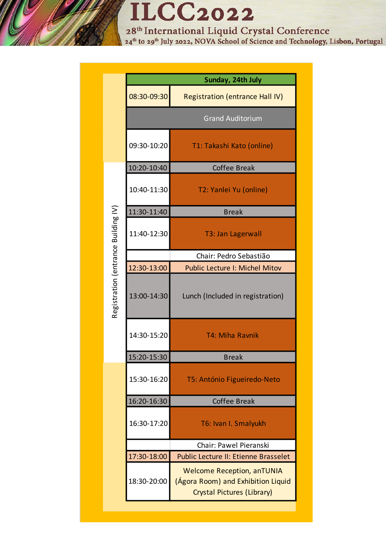## **ILCC2022**

28<sup>th</sup> International Liquid Crystal Conference<br><sup>24th</sup> to 29<sup>th</sup> July 2022, NOVA School of Science and Technology, Lisbon, Portugal

|                                     | Sunday, 24th July |                                                                                                       |
|-------------------------------------|-------------------|-------------------------------------------------------------------------------------------------------|
| Registration (entrance Building IV) | 08:30-09:30       | <b>Registration (entrance Hall IV)</b>                                                                |
|                                     |                   | <b>Grand Auditorium</b>                                                                               |
|                                     | 09:30-10:20       | T1: Takashi Kato (online)                                                                             |
|                                     | 10:20-10:40       | <b>Coffee Break</b>                                                                                   |
|                                     | 10:40-11:30       | T2: Yanlei Yu (online)                                                                                |
|                                     | 11:30-11:40       | <b>Break</b>                                                                                          |
|                                     | 11:40-12:30       | <b>T3: Jan Lagerwall</b>                                                                              |
|                                     |                   | Chair: Pedro Sebastião                                                                                |
|                                     | 12:30-13:00       | <b>Public Lecture I: Michel Mitov</b>                                                                 |
|                                     | 13:00-14:30       | Lunch (Included in registration)                                                                      |
|                                     | 14:30-15:20       | T4: Miha Ravnik                                                                                       |
|                                     | 15:20-15:30       | <b>Break</b>                                                                                          |
|                                     | 15:30-16:20       | T5: António Figueiredo-Neto                                                                           |
|                                     | 16:20-16:30       | <b>Coffee Break</b>                                                                                   |
|                                     | 16:30-17:20       | T6: Ivan I. Smalyukh                                                                                  |
|                                     |                   | Chair: Pawel Pieranski                                                                                |
|                                     | 17:30-18:00       | <b>Public Lecture II: Etienne Brasselet</b>                                                           |
|                                     | 18:30-20:00       | <b>Welcome Reception, anTUNIA</b><br>(Ágora Room) and Exhibition Liquid<br>Crystal Pictures (Library) |